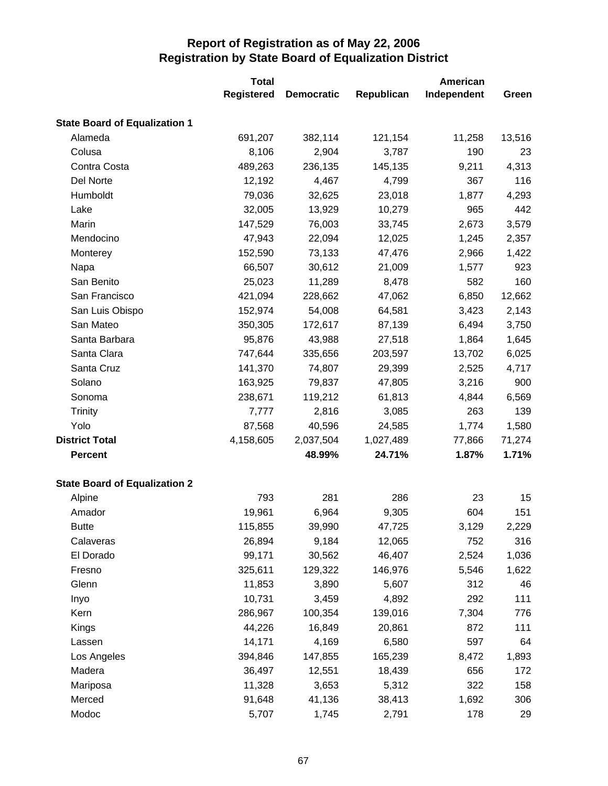|                                      | <b>Total</b>      |                   | American   |             |        |  |
|--------------------------------------|-------------------|-------------------|------------|-------------|--------|--|
|                                      | <b>Registered</b> | <b>Democratic</b> | Republican | Independent | Green  |  |
| <b>State Board of Equalization 1</b> |                   |                   |            |             |        |  |
| Alameda                              | 691,207           | 382,114           | 121,154    | 11,258      | 13,516 |  |
| Colusa                               | 8,106             | 2,904             | 3,787      | 190         | 23     |  |
| Contra Costa                         | 489,263           | 236,135           | 145,135    | 9,211       | 4,313  |  |
| Del Norte                            | 12,192            | 4,467             | 4,799      | 367         | 116    |  |
| Humboldt                             | 79,036            | 32,625            | 23,018     | 1,877       | 4,293  |  |
| Lake                                 | 32,005            | 13,929            | 10,279     | 965         | 442    |  |
| Marin                                | 147,529           | 76,003            | 33,745     | 2,673       | 3,579  |  |
| Mendocino                            | 47,943            | 22,094            | 12,025     | 1,245       | 2,357  |  |
| Monterey                             | 152,590           | 73,133            | 47,476     | 2,966       | 1,422  |  |
| Napa                                 | 66,507            | 30,612            | 21,009     | 1,577       | 923    |  |
| San Benito                           | 25,023            | 11,289            | 8,478      | 582         | 160    |  |
| San Francisco                        | 421,094           | 228,662           | 47,062     | 6,850       | 12,662 |  |
| San Luis Obispo                      | 152,974           | 54,008            | 64,581     | 3,423       | 2,143  |  |
| San Mateo                            | 350,305           | 172,617           | 87,139     | 6,494       | 3,750  |  |
| Santa Barbara                        | 95,876            | 43,988            | 27,518     | 1,864       | 1,645  |  |
| Santa Clara                          | 747,644           | 335,656           | 203,597    | 13,702      | 6,025  |  |
| Santa Cruz                           | 141,370           | 74,807            | 29,399     | 2,525       | 4,717  |  |
| Solano                               | 163,925           | 79,837            | 47,805     | 3,216       | 900    |  |
| Sonoma                               | 238,671           | 119,212           | 61,813     | 4,844       | 6,569  |  |
| <b>Trinity</b>                       | 7,777             | 2,816             | 3,085      | 263         | 139    |  |
| Yolo                                 | 87,568            | 40,596            | 24,585     | 1,774       | 1,580  |  |
| <b>District Total</b>                | 4,158,605         | 2,037,504         | 1,027,489  | 77,866      | 71,274 |  |
| <b>Percent</b>                       |                   | 48.99%            | 24.71%     | 1.87%       | 1.71%  |  |
| <b>State Board of Equalization 2</b> |                   |                   |            |             |        |  |
| Alpine                               | 793               | 281               | 286        | 23          | 15     |  |
| Amador                               | 19,961            | 6,964             | 9,305      | 604         | 151    |  |
| <b>Butte</b>                         | 115,855           | 39,990            | 47,725     | 3,129       | 2,229  |  |
| Calaveras                            | 26,894            | 9,184             | 12,065     | 752         | 316    |  |
| El Dorado                            | 99,171            | 30,562            | 46,407     | 2,524       | 1,036  |  |
| Fresno                               | 325,611           | 129,322           | 146,976    | 5,546       | 1,622  |  |
| Glenn                                | 11,853            | 3,890             | 5,607      | 312         | 46     |  |
| Inyo                                 | 10,731            | 3,459             | 4,892      | 292         | 111    |  |
| Kern                                 | 286,967           | 100,354           | 139,016    | 7,304       | 776    |  |
| Kings                                | 44,226            | 16,849            | 20,861     | 872         | 111    |  |
| Lassen                               | 14,171            | 4,169             | 6,580      | 597         | 64     |  |
| Los Angeles                          | 394,846           | 147,855           | 165,239    | 8,472       | 1,893  |  |
| Madera                               | 36,497            | 12,551            | 18,439     | 656         | 172    |  |
| Mariposa                             | 11,328            | 3,653             | 5,312      | 322         | 158    |  |
| Merced                               | 91,648            | 41,136            | 38,413     | 1,692       | 306    |  |
| Modoc                                | 5,707             | 1,745             | 2,791      | 178         | 29     |  |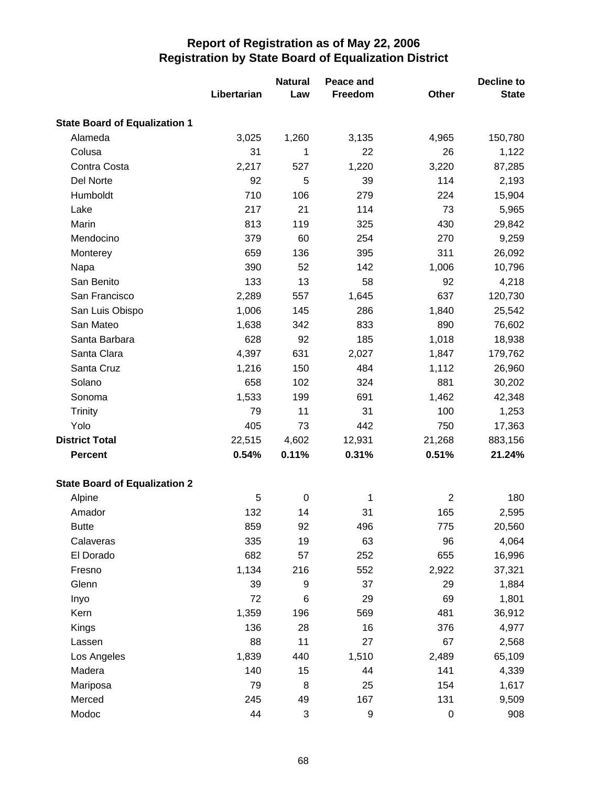|                                      | Libertarian | <b>Natural</b><br>Law     | Peace and<br>Freedom | Other          | <b>Decline to</b><br><b>State</b> |
|--------------------------------------|-------------|---------------------------|----------------------|----------------|-----------------------------------|
| <b>State Board of Equalization 1</b> |             |                           |                      |                |                                   |
| Alameda                              | 3,025       | 1,260                     | 3,135                | 4,965          | 150,780                           |
| Colusa                               | 31          | 1                         | 22                   | 26             | 1,122                             |
| Contra Costa                         | 2,217       | 527                       | 1,220                | 3,220          | 87,285                            |
| Del Norte                            | 92          | 5                         | 39                   | 114            | 2,193                             |
| Humboldt                             | 710         | 106                       | 279                  | 224            | 15,904                            |
| Lake                                 | 217         | 21                        | 114                  | 73             | 5,965                             |
| Marin                                | 813         | 119                       | 325                  | 430            | 29,842                            |
| Mendocino                            | 379         | 60                        | 254                  | 270            | 9,259                             |
| Monterey                             | 659         | 136                       | 395                  | 311            | 26,092                            |
| Napa                                 | 390         | 52                        | 142                  | 1,006          | 10,796                            |
| San Benito                           | 133         | 13                        | 58                   | 92             | 4,218                             |
| San Francisco                        | 2,289       | 557                       | 1,645                | 637            | 120,730                           |
| San Luis Obispo                      | 1,006       | 145                       | 286                  | 1,840          | 25,542                            |
| San Mateo                            | 1,638       | 342                       | 833                  | 890            | 76,602                            |
| Santa Barbara                        | 628         | 92                        | 185                  | 1,018          | 18,938                            |
| Santa Clara                          | 4,397       | 631                       | 2,027                | 1,847          | 179,762                           |
| Santa Cruz                           | 1,216       | 150                       | 484                  | 1,112          | 26,960                            |
| Solano                               | 658         | 102                       | 324                  | 881            | 30,202                            |
| Sonoma                               | 1,533       | 199                       | 691                  | 1,462          | 42,348                            |
| Trinity                              | 79          | 11                        | 31                   | 100            | 1,253                             |
| Yolo                                 | 405         | 73                        | 442                  | 750            | 17,363                            |
| <b>District Total</b>                | 22,515      | 4,602                     | 12,931               | 21,268         | 883,156                           |
| <b>Percent</b>                       | 0.54%       | 0.11%                     | 0.31%                | 0.51%          | 21.24%                            |
| <b>State Board of Equalization 2</b> |             |                           |                      |                |                                   |
| Alpine                               | 5           | $\pmb{0}$                 | 1                    | $\overline{2}$ | 180                               |
| Amador                               | 132         | 14                        | 31                   | 165            | 2,595                             |
| <b>Butte</b>                         | 859         | 92                        | 496                  | 775            | 20,560                            |
| Calaveras                            | 335         | 19                        | 63                   | 96             | 4,064                             |
| El Dorado                            | 682         | 57                        | 252                  | 655            | 16,996                            |
| Fresno                               | 1,134       | 216                       | 552                  | 2,922          | 37,321                            |
| Glenn                                | 39          | 9                         | 37                   | 29             | 1,884                             |
| Inyo                                 | 72          | 6                         | 29                   | 69             | 1,801                             |
| Kern                                 | 1,359       | 196                       | 569                  | 481            | 36,912                            |
| Kings                                | 136         | 28                        | 16                   | 376            | 4,977                             |
| Lassen                               | 88          | 11                        | 27                   | 67             | 2,568                             |
| Los Angeles                          | 1,839       | 440                       | 1,510                | 2,489          | 65,109                            |
| Madera                               | 140         | 15                        | 44                   | 141            | 4,339                             |
| Mariposa                             | 79          | 8                         | 25                   | 154            | 1,617                             |
| Merced                               | 245         | 49                        | 167                  | 131            | 9,509                             |
| Modoc                                | 44          | $\ensuremath{\mathsf{3}}$ | $\boldsymbol{9}$     | $\pmb{0}$      | 908                               |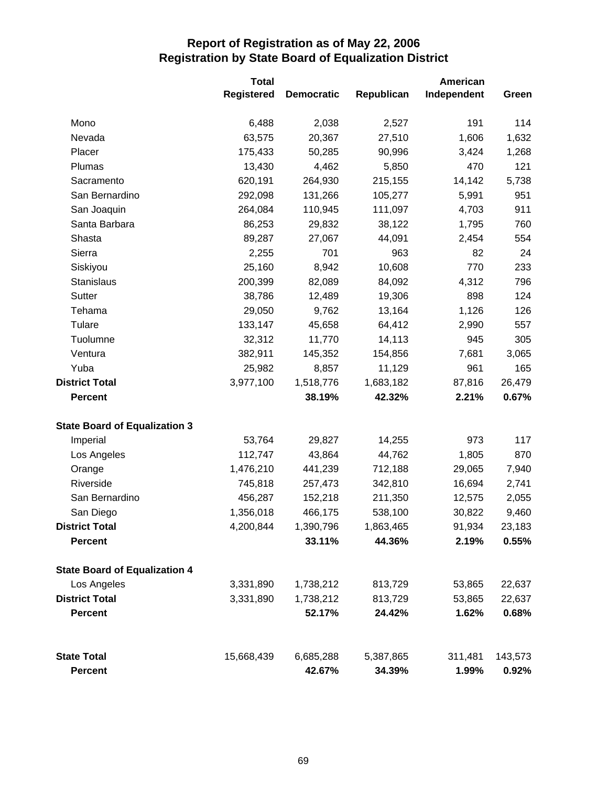|                                      | <b>Total</b>      |                   |                  | American      |              |  |
|--------------------------------------|-------------------|-------------------|------------------|---------------|--------------|--|
|                                      | <b>Registered</b> | <b>Democratic</b> | Republican       | Independent   | Green        |  |
| Mono                                 | 6,488             | 2,038<br>2,527    |                  | 191           | 114          |  |
| Nevada                               | 63,575            | 20,367            | 27,510           | 1,606         | 1,632        |  |
| Placer                               | 175,433           | 50,285            | 90,996           | 3,424         | 1,268        |  |
| Plumas                               | 13,430            | 4,462             | 5,850<br>215,155 | 470<br>14,142 | 121<br>5,738 |  |
| Sacramento                           | 620,191           | 264,930           |                  |               |              |  |
| San Bernardino                       | 292,098           | 131,266           | 105,277          | 5,991         | 951          |  |
| San Joaquin                          | 264,084           | 110,945           | 111,097          | 4,703         | 911          |  |
| Santa Barbara                        | 86,253            | 29,832            | 38,122           | 1,795         | 760          |  |
| Shasta                               | 89,287            | 27,067            | 44,091           | 2,454         | 554          |  |
| Sierra                               | 2,255             | 701               | 963              | 82            | 24           |  |
| Siskiyou                             | 25,160            | 8,942             | 10,608           | 770           | 233          |  |
| Stanislaus                           | 200,399           | 82,089            | 84,092           | 4,312         | 796          |  |
| Sutter                               | 38,786            | 12,489            | 19,306           | 898           | 124          |  |
| Tehama                               | 29,050            | 9,762             | 13,164           | 1,126         | 126          |  |
| Tulare                               | 133,147           | 45,658            | 64,412           | 2,990         | 557          |  |
| Tuolumne                             | 32,312            | 11,770            | 14,113           | 945           | 305          |  |
| Ventura                              | 382,911           | 145,352           | 154,856          | 7,681         | 3,065        |  |
| Yuba                                 | 25,982            | 8,857             | 11,129           | 961           | 165          |  |
| <b>District Total</b>                | 3,977,100         | 1,518,776         | 1,683,182        | 87,816        | 26,479       |  |
| <b>Percent</b>                       |                   | 38.19%            | 42.32%           | 2.21%         | 0.67%        |  |
| <b>State Board of Equalization 3</b> |                   |                   |                  |               |              |  |
| Imperial                             | 53,764            | 29,827            | 14,255           | 973           | 117          |  |
| Los Angeles                          | 112,747           | 43,864            | 44,762           | 1,805         | 870          |  |
| Orange                               | 1,476,210         | 441,239           | 712,188          | 29,065        | 7,940        |  |
| Riverside                            | 745,818           | 257,473           | 342,810          | 16,694        | 2,741        |  |
| San Bernardino                       | 456,287           | 152,218           | 211,350          | 12,575        | 2,055        |  |
| San Diego                            | 1,356,018         | 466,175           | 538,100          | 30,822        | 9,460        |  |
| <b>District Total</b>                | 4,200,844         | 1,390,796         | 1,863,465        | 91,934        | 23,183       |  |
| <b>Percent</b>                       |                   | 33.11%            | 44.36%           | 2.19%         | 0.55%        |  |
| <b>State Board of Equalization 4</b> |                   |                   |                  |               |              |  |
| Los Angeles                          | 3,331,890         | 1,738,212         | 813,729          | 53,865        | 22,637       |  |
| <b>District Total</b>                | 3,331,890         | 1,738,212         | 813,729          | 53,865        | 22,637       |  |
| <b>Percent</b>                       |                   | 52.17%            | 24.42%           | 1.62%         | 0.68%        |  |
| <b>State Total</b>                   | 15,668,439        | 6,685,288         | 5,387,865        | 311,481       | 143,573      |  |
| <b>Percent</b>                       |                   | 42.67%            | 34.39%           | 1.99%         | 0.92%        |  |